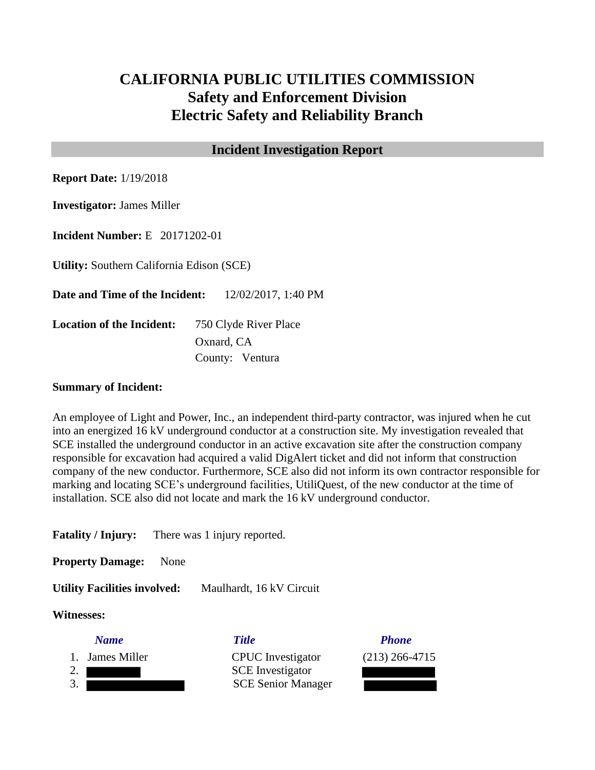# **CALIFORNIA PUBLIC UTILITIES COMMISSION Safety and Enforcement Division Electric Safety and Reliability Branch**

# **Incident Investigation Report**

**Report Date:** 1/19/2018

**Investigator:** James Miller

**Incident Number:** E 20171202-01

**Utility:** Southern California Edison (SCE)

**Date and Time of the Incident:** 12/02/2017, 1:40 PM

**Location of the Incident:** 750 Clyde River Place Oxnard, CA County: Ventura

### **Summary of Incident:**

An employee of Light and Power, Inc., an independent third-party contractor, was injured when he cut into an energized 16 kV underground conductor at a construction site. My investigation revealed that SCE installed the underground conductor in an active excavation site after the construction company responsible for excavation had acquired a valid DigAlert ticket and did not inform that construction company of the new conductor. Furthermore, SCE also did not inform its own contractor responsible for marking and locating SCE's underground facilities, UtiliQuest, of the new conductor at the time of installation. SCE also did not locate and mark the 16 kV underground conductor.

**Fatality / Injury:** There was 1 injury reported.

**Property Damage:** None

**Utility Facilities involved:** Maulhardt, 16 kV Circuit

### **Witnesses:**

*Name Title Phone* 1. James Miller CPUC Investigator (213) 266-4715 2. SCE Investigator 3. SCE Senior Manager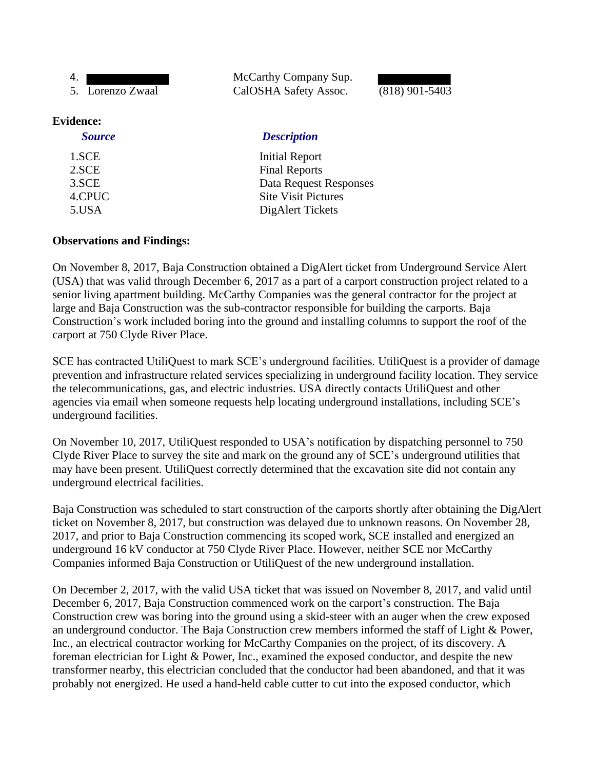| 4.               | McCarthy Company Sup. |                  |
|------------------|-----------------------|------------------|
| 5. Lorenzo Zwaal | CalOSHA Safety Assoc. | $(818)$ 901-5403 |
|                  |                       |                  |

#### **Evidence:**

#### *Source Description*

| <b>Initial Report</b>      |
|----------------------------|
| <b>Final Reports</b>       |
| Data Request Responses     |
| <b>Site Visit Pictures</b> |
| Dig Alert Tickets          |
|                            |

# **Observations and Findings:**

On November 8, 2017, Baja Construction obtained a DigAlert ticket from Underground Service Alert (USA) that was valid through December 6, 2017 as a part of a carport construction project related to a senior living apartment building. McCarthy Companies was the general contractor for the project at large and Baja Construction was the sub-contractor responsible for building the carports. Baja Construction's work included boring into the ground and installing columns to support the roof of the carport at 750 Clyde River Place.

SCE has contracted UtiliQuest to mark SCE's underground facilities. UtiliQuest is a provider of damage prevention and infrastructure related services specializing in underground facility location. They service the telecommunications, gas, and electric industries. USA directly contacts UtiliQuest and other agencies via email when someone requests help locating underground installations, including SCE's underground facilities.

On November 10, 2017, UtiliQuest responded to USA's notification by dispatching personnel to 750 Clyde River Place to survey the site and mark on the ground any of SCE's underground utilities that may have been present. UtiliQuest correctly determined that the excavation site did not contain any underground electrical facilities.

Baja Construction was scheduled to start construction of the carports shortly after obtaining the DigAlert ticket on November 8, 2017, but construction was delayed due to unknown reasons. On November 28, 2017, and prior to Baja Construction commencing its scoped work, SCE installed and energized an underground 16 kV conductor at 750 Clyde River Place. However, neither SCE nor McCarthy Companies informed Baja Construction or UtiliQuest of the new underground installation.

On December 2, 2017, with the valid USA ticket that was issued on November 8, 2017, and valid until December 6, 2017, Baja Construction commenced work on the carport's construction. The Baja Construction crew was boring into the ground using a skid-steer with an auger when the crew exposed an underground conductor. The Baja Construction crew members informed the staff of Light & Power, Inc., an electrical contractor working for McCarthy Companies on the project, of its discovery. A foreman electrician for Light & Power, Inc., examined the exposed conductor, and despite the new transformer nearby, this electrician concluded that the conductor had been abandoned, and that it was probably not energized. He used a hand-held cable cutter to cut into the exposed conductor, which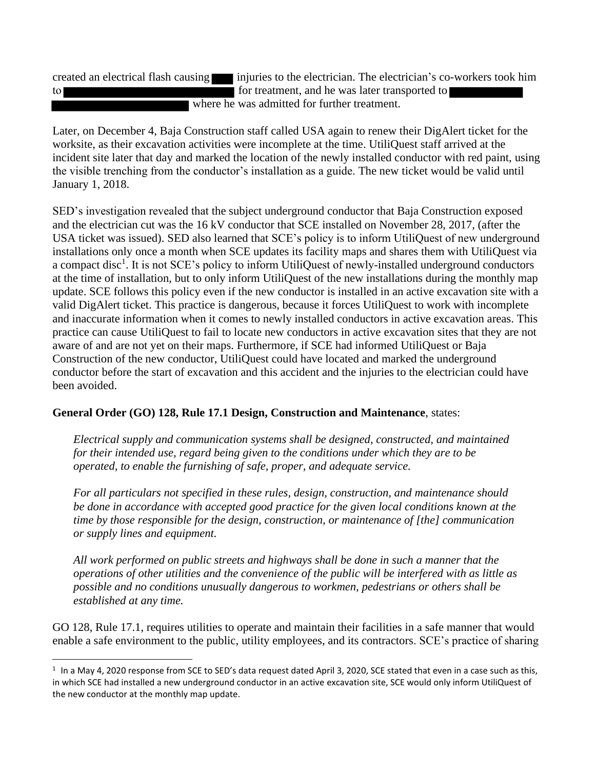created an electrical flash causing injuries to the electrician. The electrician's co-workers took him to **for the formulate intervalse in the formulate intervalse in the was later transported to** where he was admitted for further treatment.

Later, on December 4, Baja Construction staff called USA again to renew their DigAlert ticket for the worksite, as their excavation activities were incomplete at the time. UtiliQuest staff arrived at the incident site later that day and marked the location of the newly installed conductor with red paint, using the visible trenching from the conductor's installation as a guide. The new ticket would be valid until January 1, 2018.

SED's investigation revealed that the subject underground conductor that Baja Construction exposed and the electrician cut was the 16 kV conductor that SCE installed on November 28, 2017, (after the USA ticket was issued). SED also learned that SCE's policy is to inform UtiliQuest of new underground installations only once a month when SCE updates its facility maps and shares them with UtiliQuest via a compact disc<sup>1</sup>. It is not SCE's policy to inform UtiliQuest of newly-installed underground conductors at the time of installation, but to only inform UtiliQuest of the new installations during the monthly map update. SCE follows this policy even if the new conductor is installed in an active excavation site with a valid DigAlert ticket. This practice is dangerous, because it forces UtiliQuest to work with incomplete and inaccurate information when it comes to newly installed conductors in active excavation areas. This practice can cause UtiliQuest to fail to locate new conductors in active excavation sites that they are not aware of and are not yet on their maps. Furthermore, if SCE had informed UtiliQuest or Baja Construction of the new conductor, UtiliQuest could have located and marked the underground conductor before the start of excavation and this accident and the injuries to the electrician could have been avoided.

# **General Order (GO) 128, Rule 17.1 Design, Construction and Maintenance**, states:

*Electrical supply and communication systems shall be designed, constructed, and maintained for their intended use, regard being given to the conditions under which they are to be operated, to enable the furnishing of safe, proper, and adequate service.*

*For all particulars not specified in these rules, design, construction, and maintenance should be done in accordance with accepted good practice for the given local conditions known at the time by those responsible for the design, construction, or maintenance of [the] communication or supply lines and equipment.*

*All work performed on public streets and highways shall be done in such a manner that the operations of other utilities and the convenience of the public will be interfered with as little as possible and no conditions unusually dangerous to workmen, pedestrians or others shall be established at any time.*

GO 128, Rule 17.1, requires utilities to operate and maintain their facilities in a safe manner that would enable a safe environment to the public, utility employees, and its contractors. SCE's practice of sharing

 $^1$  In a May 4, 2020 response from SCE to SED's data request dated April 3, 2020, SCE stated that even in a case such as this, in which SCE had installed a new underground conductor in an active excavation site, SCE would only inform UtiliQuest of the new conductor at the monthly map update.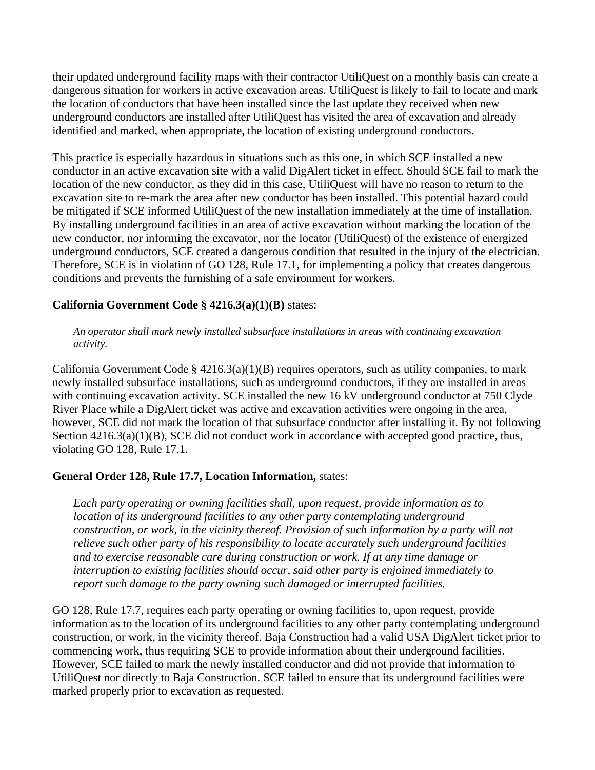their updated underground facility maps with their contractor UtiliQuest on a monthly basis can create a dangerous situation for workers in active excavation areas. UtiliQuest is likely to fail to locate and mark the location of conductors that have been installed since the last update they received when new underground conductors are installed after UtiliQuest has visited the area of excavation and already identified and marked, when appropriate, the location of existing underground conductors.

This practice is especially hazardous in situations such as this one, in which SCE installed a new conductor in an active excavation site with a valid DigAlert ticket in effect. Should SCE fail to mark the location of the new conductor, as they did in this case, UtiliQuest will have no reason to return to the excavation site to re-mark the area after new conductor has been installed. This potential hazard could be mitigated if SCE informed UtiliQuest of the new installation immediately at the time of installation. By installing underground facilities in an area of active excavation without marking the location of the new conductor, nor informing the excavator, nor the locator (UtiliQuest) of the existence of energized underground conductors, SCE created a dangerous condition that resulted in the injury of the electrician. Therefore, SCE is in violation of GO 128, Rule 17.1, for implementing a policy that creates dangerous conditions and prevents the furnishing of a safe environment for workers.

# **California Government Code § 4216.3(a)(1)(B)** states:

*An operator shall mark newly installed subsurface installations in areas with continuing excavation activity.*

California Government Code §  $4216.3(a)(1)(B)$  requires operators, such as utility companies, to mark newly installed subsurface installations, such as underground conductors, if they are installed in areas with continuing excavation activity. SCE installed the new 16 kV underground conductor at 750 Clyde River Place while a DigAlert ticket was active and excavation activities were ongoing in the area, however, SCE did not mark the location of that subsurface conductor after installing it. By not following Section  $4216.3(a)(1)(B)$ , SCE did not conduct work in accordance with accepted good practice, thus, violating GO 128, Rule 17.1.

### **General Order 128, Rule 17.7, Location Information,** states:

*Each party operating or owning facilities shall, upon request, provide information as to location of its underground facilities to any other party contemplating underground construction, or work, in the vicinity thereof. Provision of such information by a party will not relieve such other party of his responsibility to locate accurately such underground facilities and to exercise reasonable care during construction or work. If at any time damage or interruption to existing facilities should occur, said other party is enjoined immediately to report such damage to the party owning such damaged or interrupted facilities.*

GO 128, Rule 17.7, requires each party operating or owning facilities to, upon request, provide information as to the location of its underground facilities to any other party contemplating underground construction, or work, in the vicinity thereof. Baja Construction had a valid USA DigAlert ticket prior to commencing work, thus requiring SCE to provide information about their underground facilities. However, SCE failed to mark the newly installed conductor and did not provide that information to UtiliQuest nor directly to Baja Construction. SCE failed to ensure that its underground facilities were marked properly prior to excavation as requested.